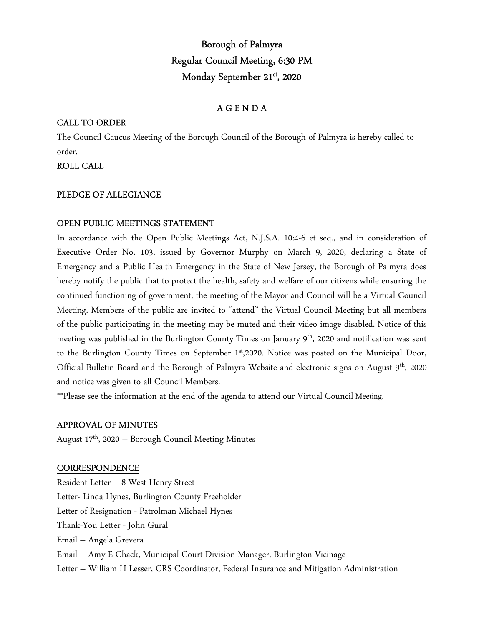# Borough of Palmyra Regular Council Meeting, 6:30 PM Monday September 21st, 2020

# A G E N D A

### CALL TO ORDER

The Council Caucus Meeting of the Borough Council of the Borough of Palmyra is hereby called to order.

### ROLL CALL

### PLEDGE OF ALLEGIANCE

### OPEN PUBLIC MEETINGS STATEMENT

In accordance with the Open Public Meetings Act, N.J.S.A. 10:4-6 et seq., and in consideration of Executive Order No. 103, issued by Governor Murphy on March 9, 2020, declaring a State of Emergency and a Public Health Emergency in the State of New Jersey, the Borough of Palmyra does hereby notify the public that to protect the health, safety and welfare of our citizens while ensuring the continued functioning of government, the meeting of the Mayor and Council will be a Virtual Council Meeting. Members of the public are invited to "attend" the Virtual Council Meeting but all members of the public participating in the meeting may be muted and their video image disabled. Notice of this meeting was published in the Burlington County Times on January 9<sup>th</sup>, 2020 and notification was sent to the Burlington County Times on September 1st, 2020. Notice was posted on the Municipal Door, Official Bulletin Board and the Borough of Palmyra Website and electronic signs on August 9<sup>th</sup>, 2020 and notice was given to all Council Members.

\*\*Please see the information at the end of the agenda to attend our Virtual Council Meeting.

### APPROVAL OF MINUTES

August 17th, 2020 – Borough Council Meeting Minutes

#### **CORRESPONDENCE**

Resident Letter – 8 West Henry Street Letter- Linda Hynes, Burlington County Freeholder Letter of Resignation - Patrolman Michael Hynes Thank-You Letter - John Gural Email – Angela Grevera Email – Amy E Chack, Municipal Court Division Manager, Burlington Vicinage Letter – William H Lesser, CRS Coordinator, Federal Insurance and Mitigation Administration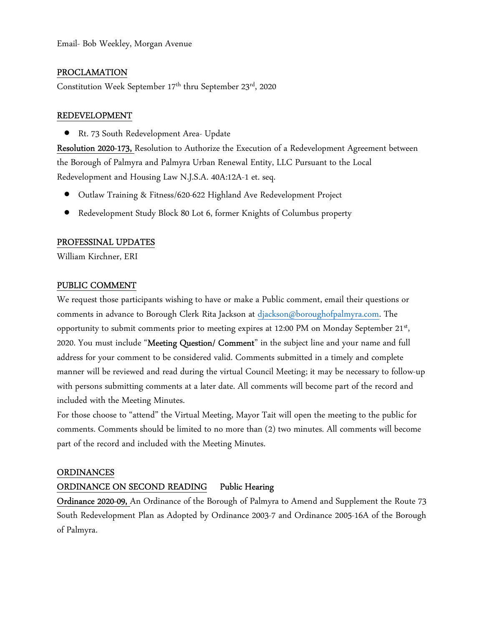# PROCLAMATION

Constitution Week September 17<sup>th</sup> thru September 23<sup>rd</sup>, 2020

### REDEVELOPMENT

Rt. 73 South Redevelopment Area- Update

Resolution 2020-173, Resolution to Authorize the Execution of a Redevelopment Agreement between the Borough of Palmyra and Palmyra Urban Renewal Entity, LLC Pursuant to the Local Redevelopment and Housing Law N.J.S.A. 40A:12A-1 et. seq.

- Outlaw Training & Fitness/620-622 Highland Ave Redevelopment Project
- Redevelopment Study Block 80 Lot 6, former Knights of Columbus property

### PROFESSINAL UPDATES

William Kirchner, ERI

### PUBLIC COMMENT

We request those participants wishing to have or make a Public comment, email their questions or comments in advance to Borough Clerk Rita Jackson at djackson@boroughofpalmyra.com. The opportunity to submit comments prior to meeting expires at 12:00 PM on Monday September 21<sup>st</sup>, 2020. You must include "Meeting Question/ Comment" in the subject line and your name and full address for your comment to be considered valid. Comments submitted in a timely and complete manner will be reviewed and read during the virtual Council Meeting; it may be necessary to follow-up with persons submitting comments at a later date. All comments will become part of the record and included with the Meeting Minutes.

For those choose to "attend" the Virtual Meeting, Mayor Tait will open the meeting to the public for comments. Comments should be limited to no more than (2) two minutes. All comments will become part of the record and included with the Meeting Minutes.

#### ORDINANCES

# ORDINANCE ON SECOND READING Public Hearing

Ordinance 2020-09, An Ordinance of the Borough of Palmyra to Amend and Supplement the Route 73 South Redevelopment Plan as Adopted by Ordinance 2003-7 and Ordinance 2005-16A of the Borough of Palmyra.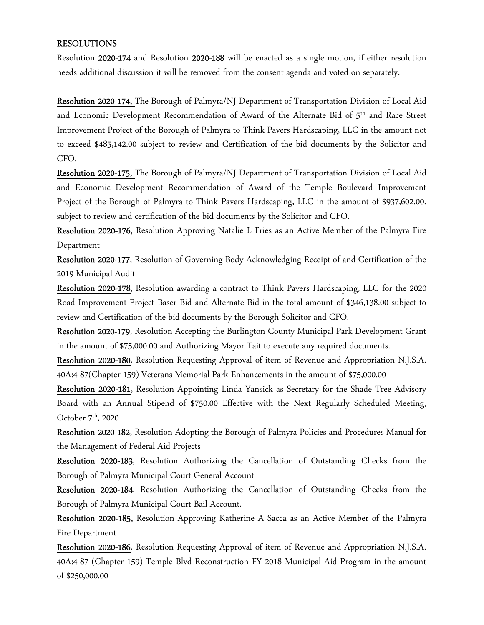### RESOLUTIONS

Resolution 2020-174 and Resolution 2020-188 will be enacted as a single motion, if either resolution needs additional discussion it will be removed from the consent agenda and voted on separately.

Resolution 2020-174, The Borough of Palmyra/NJ Department of Transportation Division of Local Aid and Economic Development Recommendation of Award of the Alternate Bid of 5<sup>th</sup> and Race Street Improvement Project of the Borough of Palmyra to Think Pavers Hardscaping, LLC in the amount not to exceed \$485,142.00 subject to review and Certification of the bid documents by the Solicitor and CFO.

Resolution 2020-175, The Borough of Palmyra/NJ Department of Transportation Division of Local Aid and Economic Development Recommendation of Award of the Temple Boulevard Improvement Project of the Borough of Palmyra to Think Pavers Hardscaping, LLC in the amount of \$937,602.00. subject to review and certification of the bid documents by the Solicitor and CFO.

Resolution 2020-176, Resolution Approving Natalie L Fries as an Active Member of the Palmyra Fire Department

Resolution 2020-177, Resolution of Governing Body Acknowledging Receipt of and Certification of the 2019 Municipal Audit

Resolution 2020-178, Resolution awarding a contract to Think Pavers Hardscaping, LLC for the 2020 Road Improvement Project Baser Bid and Alternate Bid in the total amount of \$346,138.00 subject to review and Certification of the bid documents by the Borough Solicitor and CFO.

Resolution 2020-179, Resolution Accepting the Burlington County Municipal Park Development Grant in the amount of \$75,000.00 and Authorizing Mayor Tait to execute any required documents.

Resolution 2020-180, Resolution Requesting Approval of item of Revenue and Appropriation N.J.S.A. 40A:4-87(Chapter 159) Veterans Memorial Park Enhancements in the amount of \$75,000.00

Resolution 2020-181, Resolution Appointing Linda Yansick as Secretary for the Shade Tree Advisory Board with an Annual Stipend of \$750.00 Effective with the Next Regularly Scheduled Meeting, October  $7<sup>th</sup>$ , 2020

Resolution 2020-182, Resolution Adopting the Borough of Palmyra Policies and Procedures Manual for the Management of Federal Aid Projects

Resolution 2020-183, Resolution Authorizing the Cancellation of Outstanding Checks from the Borough of Palmyra Municipal Court General Account

Resolution 2020-184, Resolution Authorizing the Cancellation of Outstanding Checks from the Borough of Palmyra Municipal Court Bail Account.

Resolution 2020-185, Resolution Approving Katherine A Sacca as an Active Member of the Palmyra Fire Department

Resolution 2020-186, Resolution Requesting Approval of item of Revenue and Appropriation N.J.S.A. 40A:4-87 (Chapter 159) Temple Blvd Reconstruction FY 2018 Municipal Aid Program in the amount of \$250,000.00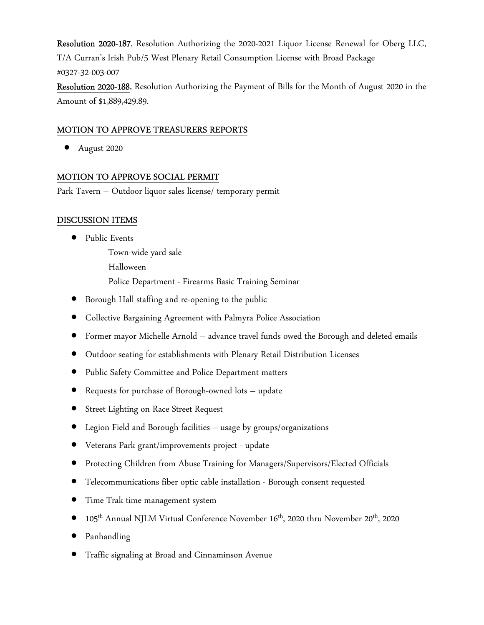Resolution 2020-187, Resolution Authorizing the 2020-2021 Liquor License Renewal for Oberg LLC, T/A Curran's Irish Pub/5 West Plenary Retail Consumption License with Broad Package #0327-32-003-007

Resolution 2020-188, Resolution Authorizing the Payment of Bills for the Month of August 2020 in the Amount of \$1,889,429.89.

# MOTION TO APPROVE TREASURERS REPORTS

August 2020

# MOTION TO APPROVE SOCIAL PERMIT

Park Tavern – Outdoor liquor sales license/ temporary permit

### DISCUSSION ITEMS

• Public Events

 Town-wide yard sale Halloween Police Department - Firearms Basic Training Seminar

- Borough Hall staffing and re-opening to the public
- Collective Bargaining Agreement with Palmyra Police Association
- Former mayor Michelle Arnold advance travel funds owed the Borough and deleted emails
- Outdoor seating for establishments with Plenary Retail Distribution Licenses
- Public Safety Committee and Police Department matters
- Requests for purchase of Borough-owned lots update
- Street Lighting on Race Street Request
- Legion Field and Borough facilities -- usage by groups/organizations
- Veterans Park grant/improvements project update
- Protecting Children from Abuse Training for Managers/Supervisors/Elected Officials
- Telecommunications fiber optic cable installation Borough consent requested
- Time Trak time management system
- 105th Annual NJLM Virtual Conference November 16th, 2020 thru November 20th, 2020
- Panhandling
- Traffic signaling at Broad and Cinnaminson Avenue